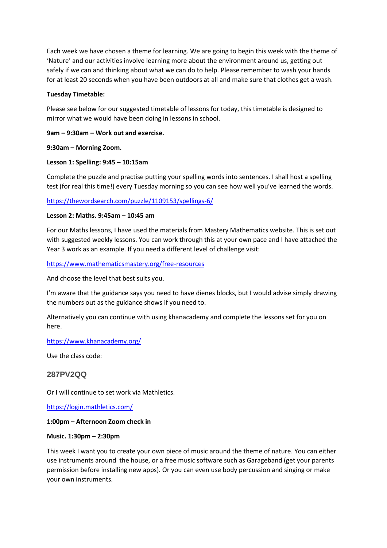Each week we have chosen a theme for learning. We are going to begin this week with the theme of 'Nature' and our activities involve learning more about the environment around us, getting out safely if we can and thinking about what we can do to help. Please remember to wash your hands for at least 20 seconds when you have been outdoors at all and make sure that clothes get a wash.

#### **Tuesday Timetable:**

Please see below for our suggested timetable of lessons for today, this timetable is designed to mirror what we would have been doing in lessons in school.

### **9am – 9:30am – Work out and exercise.**

#### **9:30am – Morning Zoom.**

### **Lesson 1: Spelling: 9:45 – 10:15am**

Complete the puzzle and practise putting your spelling words into sentences. I shall host a spelling test (for real this time!) every Tuesday morning so you can see how well you've learned the words.

### <https://thewordsearch.com/puzzle/1109153/spellings-6/>

### **Lesson 2: Maths. 9:45am – 10:45 am**

For our Maths lessons, I have used the materials from Mastery Mathematics website. This is set out with suggested weekly lessons. You can work through this at your own pace and I have attached the Year 3 work as an example. If you need a different level of challenge visit:

<https://www.mathematicsmastery.org/free-resources>

And choose the level that best suits you.

I'm aware that the guidance says you need to have dienes blocks, but I would advise simply drawing the numbers out as the guidance shows if you need to.

Alternatively you can continue with using khanacademy and complete the lessons set for you on here.

<https://www.khanacademy.org/>

Use the class code:

## **287PV2QQ**

Or I will continue to set work via Mathletics.

<https://login.mathletics.com/>

#### **1:00pm – Afternoon Zoom check in**

#### **Music. 1:30pm – 2:30pm**

This week I want you to create your own piece of music around the theme of nature. You can either use instruments around the house, or a free music software such as Garageband (get your parents permission before installing new apps). Or you can even use body percussion and singing or make your own instruments.